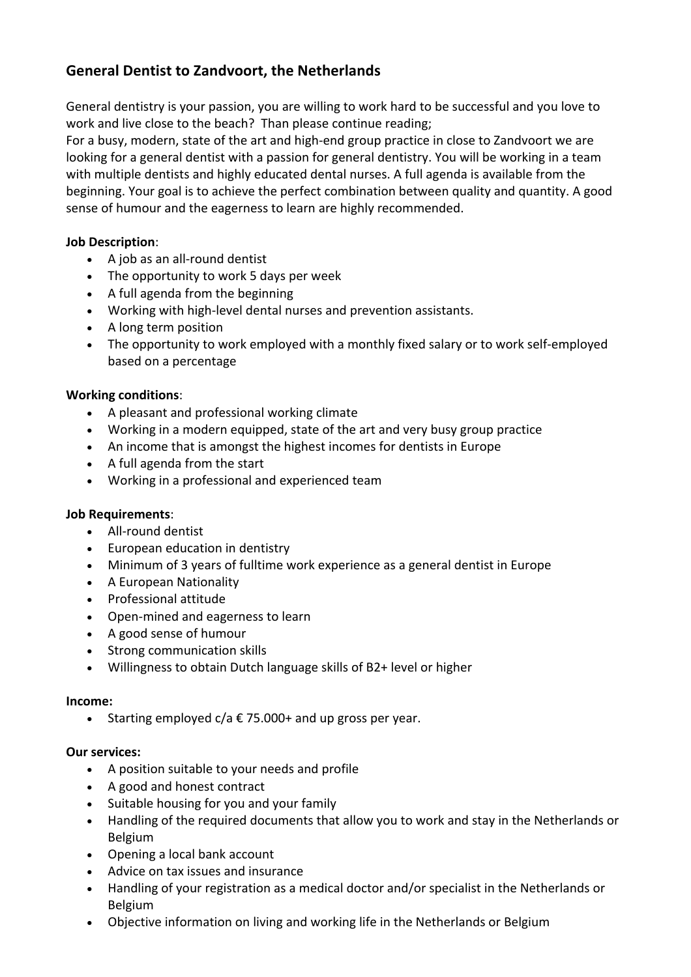# **General Dentist to Zandvoort, the Netherlands**

General dentistry is your passion, you are willing to work hard to be successful and you love to work and live close to the beach? Than please continue reading;

For a busy, modern, state of the art and high-end group practice in close to Zandvoort we are looking for a general dentist with a passion for general dentistry. You will be working in a team with multiple dentists and highly educated dental nurses. A full agenda is available from the beginning. Your goal is to achieve the perfect combination between quality and quantity. A good sense of humour and the eagerness to learn are highly recommended.

## **Job Description**:

- A job as an all-round dentist
- The opportunity to work 5 days per week
- A full agenda from the beginning
- Working with high-level dental nurses and prevention assistants.
- A long term position
- The opportunity to work employed with a monthly fixed salary or to work self-employed based on a percentage

### **Working conditions**:

- A pleasant and professional working climate
- Working in a modern equipped, state of the art and very busy group practice
- An income that is amongst the highest incomes for dentists in Europe
- $\bullet$  A full agenda from the start
- Working in a professional and experienced team

#### **Job Requirements**:

- All-round dentist
- European education in dentistry
- Minimum of 3 years of fulltime work experience as a general dentist in Europe
- A European Nationality
- Professional attitude
- Open-mined and eagerness to learn
- A good sense of humour
- Strong communication skills
- Willingness to obtain Dutch language skills of B2+ level or higher

#### **Income:**

• Starting employed  $c/a \in 75.000+$  and up gross per year.

#### **Our services:**

- A position suitable to your needs and profile
- A good and honest contract
- Suitable housing for you and your family
- Handling of the required documents that allow you to work and stay in the Netherlands or Belgium
- Opening a local bank account
- Advice on tax issues and insurance
- Handling of your registration as a medical doctor and/or specialist in the Netherlands or Belgium
- Objective information on living and working life in the Netherlands or Belgium